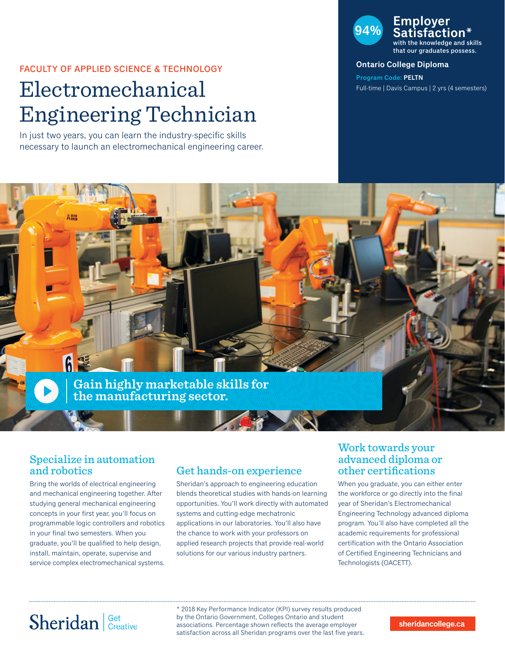#### FACULTY OF APPLIED SCIENCE & TECHNOLOGY

# Electromechanical Engineering Technician

In just two years, you can learn the industry-specific skills necessary to launch an electromechanical engineering career.

### **94% Employer Satisfaction\*** with the knowledge and skills

that our graduates possess.

#### **Ontario College Diploma**

**Program Code: PELTN** Full-time | Davis Campus | 2 yrs (4 semesters)



### Specialize in automation and robotics

Bring the worlds of electrical engineering and mechanical engineering together. After studying general mechanical engineering concepts in your first year, you'll focus on programmable logic controllers and robotics in your final two semesters. When you graduate, you'll be qualified to help design, install, maintain, operate, supervise and service complex electromechanical systems.

### Get hands-on experience

Sheridan's approach to engineering education blends theoretical studies with hands-on learning opportunities. You'll work directly with automated systems and cutting-edge mechatronic applications in our laboratories. You'll also have the chance to work with your professors on applied research projects that provide real-world solutions for our various industry partners.

### Work towards your advanced diploma or other certifications

When you graduate, you can either enter the workforce or go directly into the final year of Sheridan's Electromechanical Engineering Technology advanced diploma program. You'll also have completed all the academic requirements for professional certification with the Ontario Association of Certified Engineering Technicians and Technologists (OACETT).

# Sheridan | Get Creative

\* 2018 Key Performance Indicator (KPI) survey results produced by the Ontario Government, Colleges Ontario and student associations. Percentage shown reflects the average employer satisfaction across all Sheridan programs over the last five years.